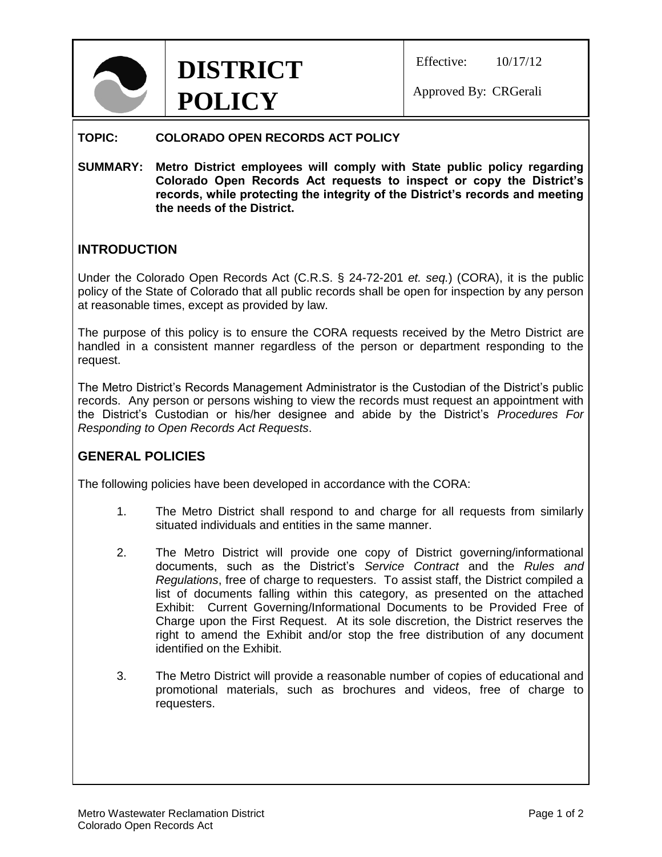

**DISTRICT POLICY**

Effective: 10/17/12

Approved By: CRGerali

### **TOPIC: COLORADO OPEN RECORDS ACT POLICY**

**SUMMARY: Metro District employees will comply with State public policy regarding Colorado Open Records Act requests to inspect or copy the District's records, while protecting the integrity of the District's records and meeting the needs of the District.**

# **INTRODUCTION**

Under the Colorado Open Records Act (C.R.S. § 24-72-201 *et. seq.*) (CORA), it is the public policy of the State of Colorado that all public records shall be open for inspection by any person at reasonable times, except as provided by law.

The purpose of this policy is to ensure the CORA requests received by the Metro District are handled in a consistent manner regardless of the person or department responding to the request.

The Metro District's Records Management Administrator is the Custodian of the District's public records. Any person or persons wishing to view the records must request an appointment with the District's Custodian or his/her designee and abide by the District's *Procedures For Responding to Open Records Act Requests*.

## **GENERAL POLICIES**

The following policies have been developed in accordance with the CORA:

- 1. The Metro District shall respond to and charge for all requests from similarly situated individuals and entities in the same manner.
- 2. The Metro District will provide one copy of District governing/informational documents, such as the District's *Service Contract* and the *Rules and Regulations*, free of charge to requesters. To assist staff, the District compiled a list of documents falling within this category, as presented on the attached Exhibit: Current Governing/Informational Documents to be Provided Free of Charge upon the First Request. At its sole discretion, the District reserves the right to amend the Exhibit and/or stop the free distribution of any document identified on the Exhibit.
- 3. The Metro District will provide a reasonable number of copies of educational and promotional materials, such as brochures and videos, free of charge to requesters.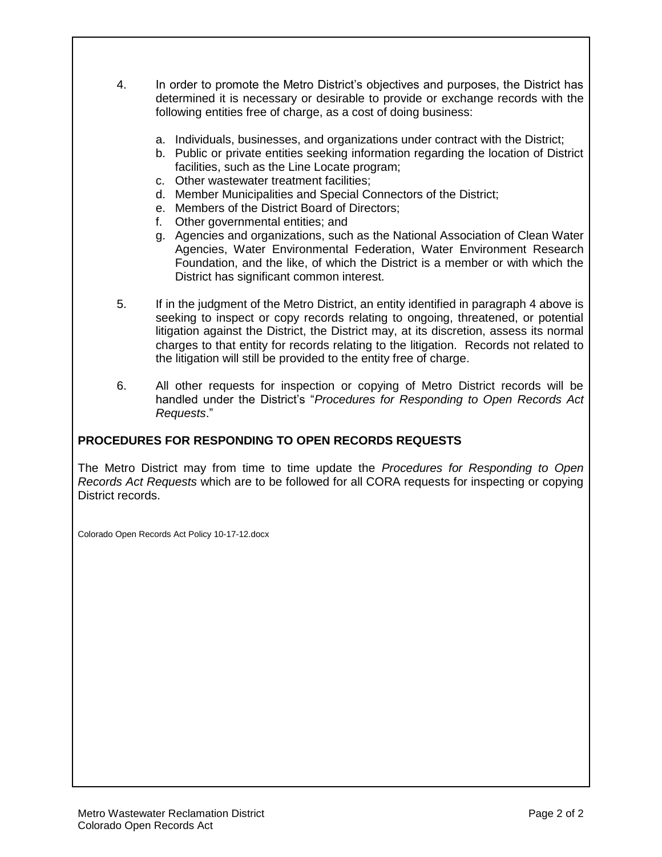- 4. In order to promote the Metro District's objectives and purposes, the District has determined it is necessary or desirable to provide or exchange records with the following entities free of charge, as a cost of doing business:
	- a. Individuals, businesses, and organizations under contract with the District;
	- b. Public or private entities seeking information regarding the location of District facilities, such as the Line Locate program;
	- c. Other wastewater treatment facilities;
	- d. Member Municipalities and Special Connectors of the District;
	- e. Members of the District Board of Directors;
	- f. Other governmental entities; and
	- g. Agencies and organizations, such as the National Association of Clean Water Agencies, Water Environmental Federation, Water Environment Research Foundation, and the like, of which the District is a member or with which the District has significant common interest.
- 5. If in the judgment of the Metro District, an entity identified in paragraph 4 above is seeking to inspect or copy records relating to ongoing, threatened, or potential litigation against the District, the District may, at its discretion, assess its normal charges to that entity for records relating to the litigation. Records not related to the litigation will still be provided to the entity free of charge.
- 6. All other requests for inspection or copying of Metro District records will be handled under the District's "*Procedures for Responding to Open Records Act Requests*."

## **PROCEDURES FOR RESPONDING TO OPEN RECORDS REQUESTS**

The Metro District may from time to time update the *Procedures for Responding to Open Records Act Requests* which are to be followed for all CORA requests for inspecting or copying District records.

Colorado Open Records Act Policy 10-17-12.docx